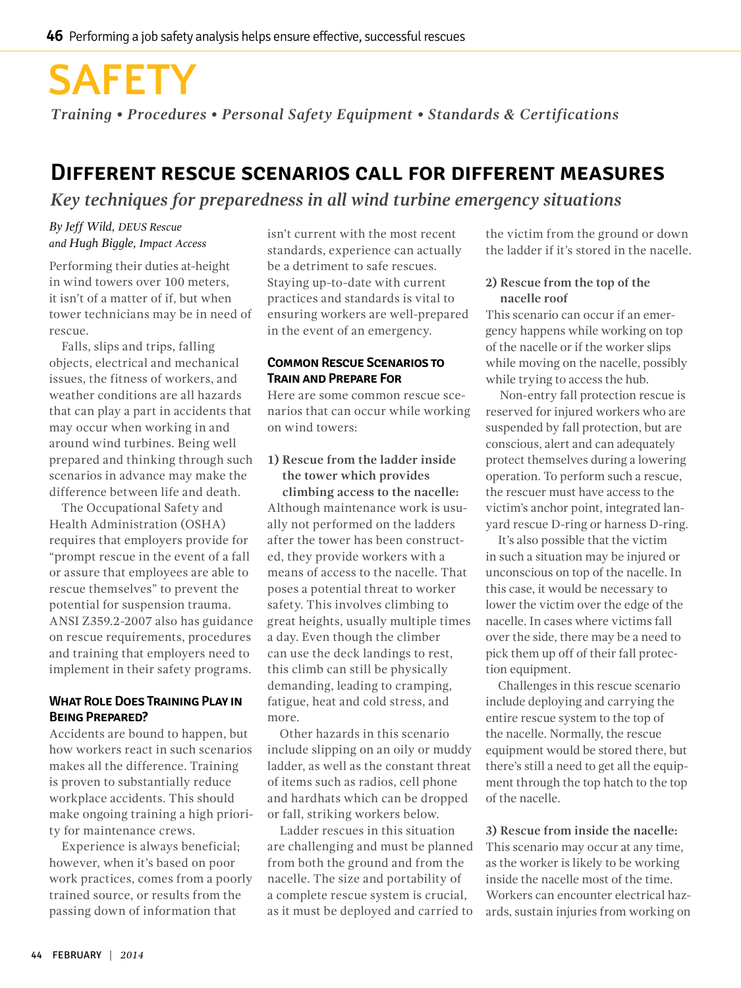# **SAFETY**

*Training • Procedures • Personal Safety Equipment • Standards & Certifications*

# **Different rescue scenarios call for different measures**

# *Key techniques for preparedness in all wind turbine emergency situations*

# *By Jeff Wild, DEUS Rescue and Hugh Biggle, Impact Access*

Performing their duties at-height in wind towers over 100 meters, it isn't of a matter of if, but when tower technicians may be in need of rescue.

Falls, slips and trips, falling objects, electrical and mechanical issues, the fitness of workers, and weather conditions are all hazards that can play a part in accidents that may occur when working in and around wind turbines. Being well prepared and thinking through such scenarios in advance may make the difference between life and death.

The Occupational Safety and Health Administration (OSHA) requires that employers provide for "prompt rescue in the event of a fall or assure that employees are able to rescue themselves" to prevent the potential for suspension trauma. ANSI Z359.2-2007 also has guidance on rescue requirements, procedures and training that employers need to implement in their safety programs.

### **What Role Does Training Play in Being Prepared?**

Accidents are bound to happen, but how workers react in such scenarios makes all the difference. Training is proven to substantially reduce workplace accidents. This should make ongoing training a high priority for maintenance crews.

Experience is always beneficial; however, when it's based on poor work practices, comes from a poorly trained source, or results from the passing down of information that

isn't current with the most recent standards, experience can actually be a detriment to safe rescues. Staying up-to-date with current practices and standards is vital to ensuring workers are well-prepared in the event of an emergency.

## **Common Rescue Scenarios to Train and Prepare For**

Here are some common rescue scenarios that can occur while working on wind towers:

# **1) Rescue from the ladder inside the tower which provides**

**climbing access to the nacelle:** Although maintenance work is usually not performed on the ladders after the tower has been constructed, they provide workers with a means of access to the nacelle. That poses a potential threat to worker safety. This involves climbing to great heights, usually multiple times a day. Even though the climber can use the deck landings to rest, this climb can still be physically demanding, leading to cramping, fatigue, heat and cold stress, and more.

Other hazards in this scenario include slipping on an oily or muddy ladder, as well as the constant threat of items such as radios, cell phone and hardhats which can be dropped or fall, striking workers below.

Ladder rescues in this situation are challenging and must be planned from both the ground and from the nacelle. The size and portability of a complete rescue system is crucial, as it must be deployed and carried to the victim from the ground or down the ladder if it's stored in the nacelle.

### **2) Rescue from the top of the nacelle roof**

This scenario can occur if an emergency happens while working on top of the nacelle or if the worker slips while moving on the nacelle, possibly while trying to access the hub.

 Non-entry fall protection rescue is reserved for injured workers who are suspended by fall protection, but are conscious, alert and can adequately protect themselves during a lowering operation. To perform such a rescue, the rescuer must have access to the victim's anchor point, integrated lanyard rescue D-ring or harness D-ring.

It's also possible that the victim in such a situation may be injured or unconscious on top of the nacelle. In this case, it would be necessary to lower the victim over the edge of the nacelle. In cases where victims fall over the side, there may be a need to pick them up off of their fall protection equipment.

Challenges in this rescue scenario include deploying and carrying the entire rescue system to the top of the nacelle. Normally, the rescue equipment would be stored there, but there's still a need to get all the equipment through the top hatch to the top of the nacelle.

**3) Rescue from inside the nacelle:** This scenario may occur at any time, as the worker is likely to be working inside the nacelle most of the time. Workers can encounter electrical hazards, sustain injuries from working on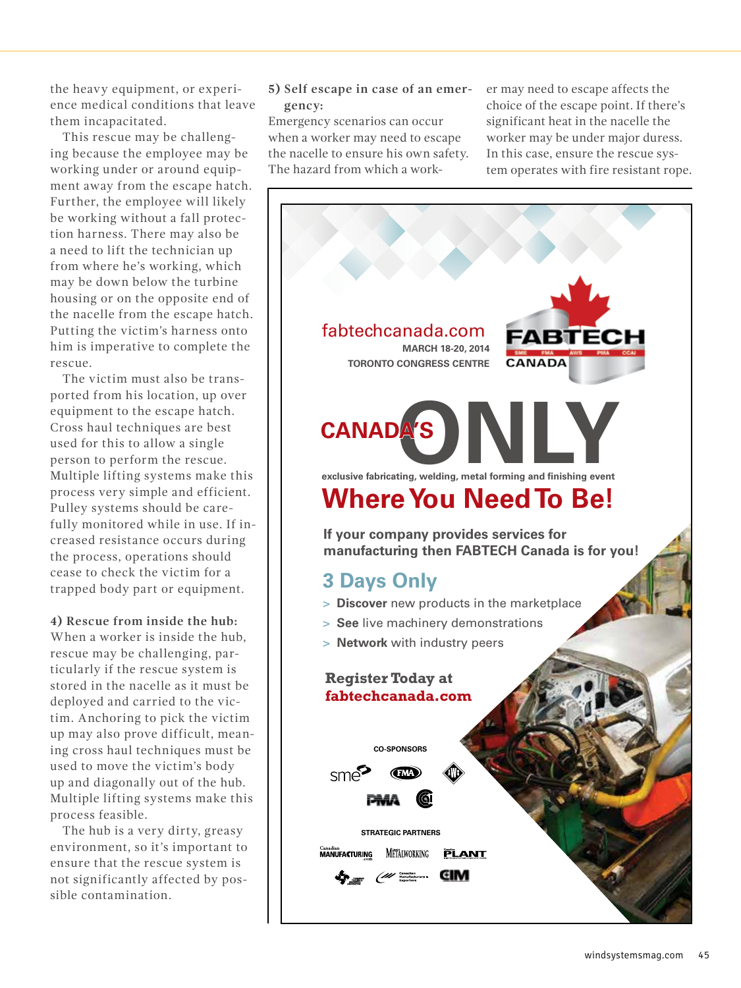the heavy equipment, or experience medical conditions that leave them incapacitated.

This rescue may be challenging because the employee may be working under or around equipment away from the escape hatch. Further, the employee will likely be working without a fall protection harness. There may also be a need to lift the technician up from where he's working, which may be down below the turbine housing or on the opposite end of the nacelle from the escape hatch. Putting the victim's harness onto him is imperative to complete the rescue.

The victim must also be transported from his location, up over equipment to the escape hatch. Cross haul techniques are best used for this to allow a single person to perform the rescue. Multiple lifting systems make this process very simple and efficient. Pulley systems should be carefully monitored while in use. If increased resistance occurs during the process, operations should cease to check the victim for a trapped body part or equipment.

**4) Rescue from inside the hub:**  When a worker is inside the hub, rescue may be challenging, particularly if the rescue system is stored in the nacelle as it must be deployed and carried to the victim. Anchoring to pick the victim up may also prove difficult, meaning cross haul techniques must be used to move the victim's body up and diagonally out of the hub. Multiple lifting systems make this process feasible.

The hub is a very dirty, greasy environment, so it's important to ensure that the rescue system is not significantly affected by possible contamination.

# **5) Self escape in case of an emergency:**

Emergency scenarios can occur when a worker may need to escape the nacelle to ensure his own safety. The hazard from which a worker may need to escape affects the choice of the escape point. If there's significant heat in the nacelle the worker may be under major duress. In this case, ensure the rescue system operates with fire resistant rope.

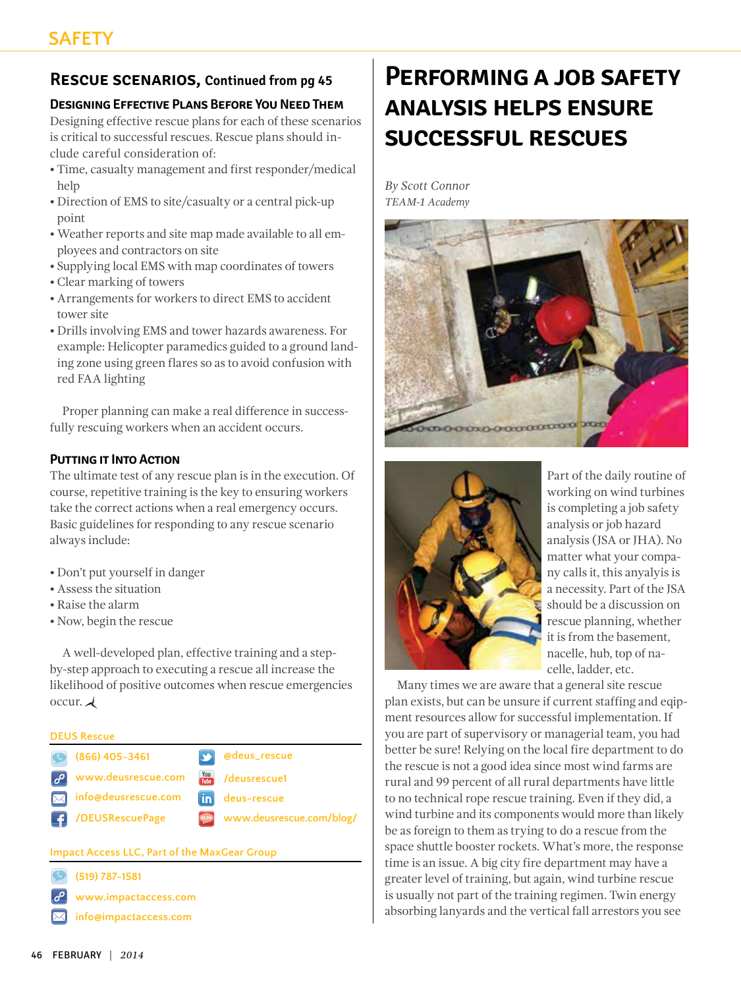# **Rescue scenarios, Continued from pg 45**

# **Designing Effective Plans Before You Need Them**

Designing effective rescue plans for each of these scenarios is critical to successful rescues. Rescue plans should include careful consideration of:

- Time, casualty management and first responder/medical help
- Direction of EMS to site/casualty or a central pick-up point
- Weather reports and site map made available to all employees and contractors on site
- Supplying local EMS with map coordinates of towers
- Clear marking of towers
- Arrangements for workers to direct EMS to accident tower site
- Drills involving EMS and tower hazards awareness. For example: Helicopter paramedics guided to a ground landing zone using green flares so as to avoid confusion with red FAA lighting

Proper planning can make a real difference in successfully rescuing workers when an accident occurs.

# **PUTTING IT INTO ACTION**

The ultimate test of any rescue plan is in the execution. Of course, repetitive training is the key to ensuring workers take the correct actions when a real emergency occurs. Basic guidelines for responding to any rescue scenario always include:

- Don't put yourself in danger
- Assess the situation
- Raise the alarm
- Now, begin the rescue

A well-developed plan, effective training and a stepby-step approach to executing a rescue all increase the likelihood of positive outcomes when rescue emergencies  $occur.$ 

### **DEUS Rescue**

| $\bigcirc$ (866) 405-3461       |        | @deus_rescue                                                   |
|---------------------------------|--------|----------------------------------------------------------------|
| $\sigma$ www.deusrescue.com     |        | $\frac{\gamma_{\text{OU}}}{\gamma_{\text{tube}}}$ /deusrescue1 |
| $\boxtimes$ info@deusrescue.com | l in l | deus-rescue                                                    |
| /DEUSRescuePage                 |        | www.deusrescue.com/blog/                                       |
|                                 |        |                                                                |

### **Impact Access LLC, Part of the MaxGear Group**

- **(519) 787-1581**
- **[www.impactaccess.com](http://www.impactaccess.com)**
- **[info@impactaccess.com](mailto:info@impactaccess.com?subejct=Referred by Wind Systems)**

# **Performing a job safety analysis helps ensure successful rescues**

*By Scott Connor TEAM-1 Academy*





Part of the daily routine of working on wind turbines is completing a job safety analysis or job hazard analysis (JSA or JHA). No matter what your company calls it, this anyalyis is a necessity. Part of the JSA should be a discussion on rescue planning, whether it is from the basement, nacelle, hub, top of nacelle, ladder, etc.

Many times we are aware that a general site rescue plan exists, but can be unsure if current staffing and eqipment resources allow for successful implementation. If you are part of supervisory or managerial team, you had better be sure! Relying on the local fire department to do the rescue is not a good idea since most wind farms are rural and 99 percent of all rural departments have little to no technical rope rescue training. Even if they did, a wind turbine and its components would more than likely be as foreign to them as trying to do a rescue from the space shuttle booster rockets. What's more, the response time is an issue. A big city fire department may have a greater level of training, but again, wind turbine rescue is usually not part of the training regimen. Twin energy absorbing lanyards and the vertical fall arrestors you see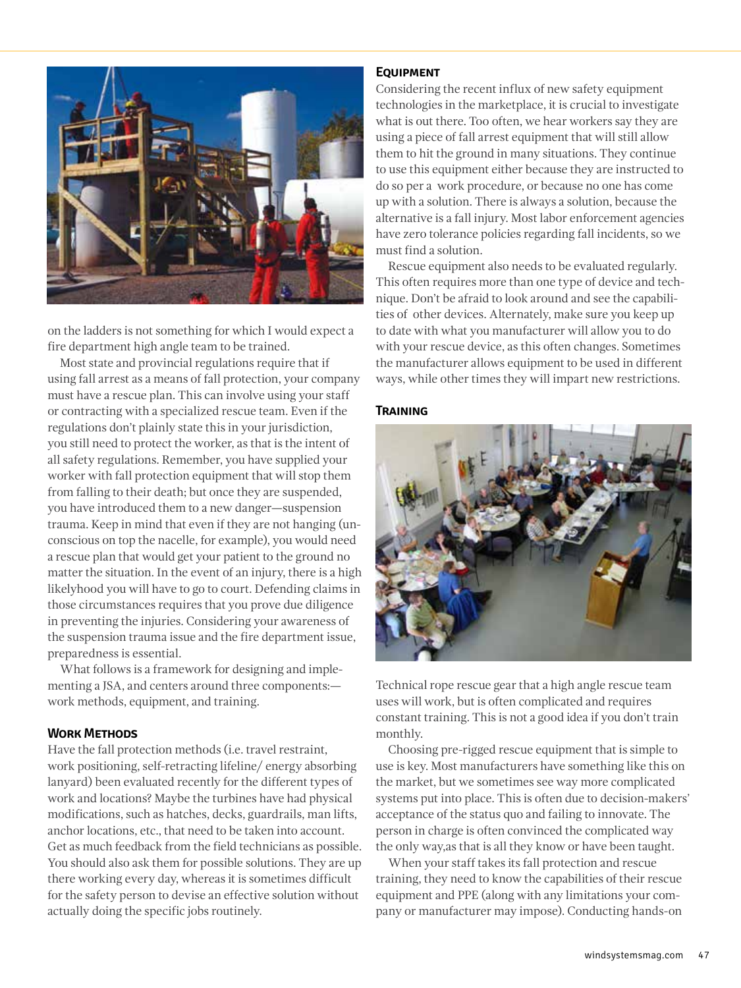

on the ladders is not something for which I would expect a fire department high angle team to be trained.

Most state and provincial regulations require that if using fall arrest as a means of fall protection, your company must have a rescue plan. This can involve using your staff or contracting with a specialized rescue team. Even if the regulations don't plainly state this in your jurisdiction, you still need to protect the worker, as that is the intent of all safety regulations. Remember, you have supplied your worker with fall protection equipment that will stop them from falling to their death; but once they are suspended, you have introduced them to a new danger—suspension trauma. Keep in mind that even if they are not hanging (unconscious on top the nacelle, for example), you would need a rescue plan that would get your patient to the ground no matter the situation. In the event of an injury, there is a high likelyhood you will have to go to court. Defending claims in those circumstances requires that you prove due diligence in preventing the injuries. Considering your awareness of the suspension trauma issue and the fire department issue, preparedness is essential.

What follows is a framework for designing and implementing a JSA, and centers around three components: work methods, equipment, and training.

### **Work Methods**

Have the fall protection methods (i.e. travel restraint, work positioning, self-retracting lifeline/ energy absorbing lanyard) been evaluated recently for the different types of work and locations? Maybe the turbines have had physical modifications, such as hatches, decks, guardrails, man lifts, anchor locations, etc., that need to be taken into account. Get as much feedback from the field technicians as possible. You should also ask them for possible solutions. They are up there working every day, whereas it is sometimes difficult for the safety person to devise an effective solution without actually doing the specific jobs routinely.

#### **Equipment**

Considering the recent influx of new safety equipment technologies in the marketplace, it is crucial to investigate what is out there. Too often, we hear workers say they are using a piece of fall arrest equipment that will still allow them to hit the ground in many situations. They continue to use this equipment either because they are instructed to do so per a work procedure, or because no one has come up with a solution. There is always a solution, because the alternative is a fall injury. Most labor enforcement agencies have zero tolerance policies regarding fall incidents, so we must find a solution.

Rescue equipment also needs to be evaluated regularly. This often requires more than one type of device and technique. Don't be afraid to look around and see the capabilities of other devices. Alternately, make sure you keep up to date with what you manufacturer will allow you to do with your rescue device, as this often changes. Sometimes the manufacturer allows equipment to be used in different ways, while other times they will impart new restrictions.

#### **Training**



Technical rope rescue gear that a high angle rescue team uses will work, but is often complicated and requires constant training. This is not a good idea if you don't train monthly.

Choosing pre-rigged rescue equipment that is simple to use is key. Most manufacturers have something like this on the market, but we sometimes see way more complicated systems put into place. This is often due to decision-makers' acceptance of the status quo and failing to innovate. The person in charge is often convinced the complicated way the only way,as that is all they know or have been taught.

When your staff takes its fall protection and rescue training, they need to know the capabilities of their rescue equipment and PPE (along with any limitations your company or manufacturer may impose). Conducting hands-on